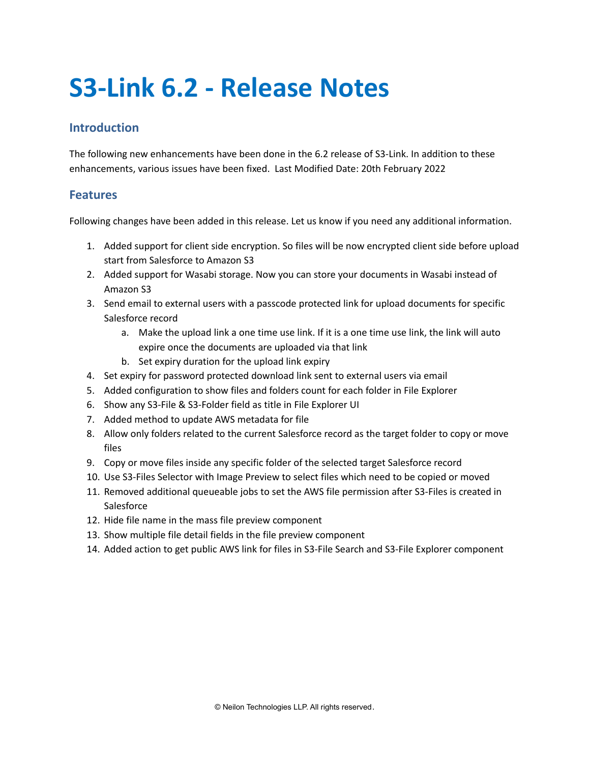## **S3-Link 6.2 - Release Notes**

## **Introduction**

The following new enhancements have been done in the 6.2 release of S3-Link. In addition to these enhancements, various issues have been fixed. Last Modified Date: 20th February 2022

## **Features**

Following changes have been added in this release. Let us know if you need any additional information.

- 1. Added support for client side encryption. So files will be now encrypted client side before upload start from Salesforce to Amazon S3
- 2. Added support for Wasabi storage. Now you can store your documents in Wasabi instead of Amazon S3
- 3. Send email to external users with a passcode protected link for upload documents for specific Salesforce record
	- a. Make the upload link a one time use link. If it is a one time use link, the link will auto expire once the documents are uploaded via that link
	- b. Set expiry duration for the upload link expiry
- 4. Set expiry for password protected download link sent to external users via email
- 5. Added configuration to show files and folders count for each folder in File Explorer
- 6. Show any S3-File & S3-Folder field as title in File Explorer UI
- 7. Added method to update AWS metadata for file
- 8. Allow only folders related to the current Salesforce record as the target folder to copy or move files
- 9. Copy or move files inside any specific folder of the selected target Salesforce record
- 10. Use S3-Files Selector with Image Preview to select files which need to be copied or moved
- 11. Removed additional queueable jobs to set the AWS file permission after S3-Files is created in **Salesforce**
- 12. Hide file name in the mass file preview component
- 13. Show multiple file detail fields in the file preview component
- 14. Added action to get public AWS link for files in S3-File Search and S3-File Explorer component